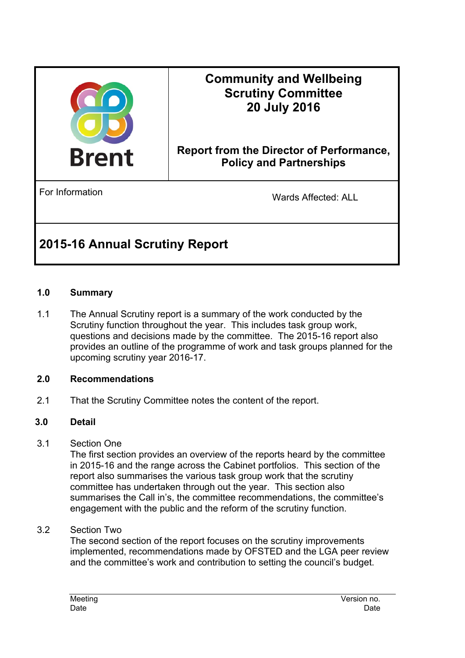

## **Community and Wellbeing Scrutiny Committee 20 July 2016**

### **Report from the Director of Performance, Policy and Partnerships**

For Information **For Information** Wards Affected: ALL

# **2015-16 Annual Scrutiny Report**

#### **1.0 Summary**

1.1 The Annual Scrutiny report is a summary of the work conducted by the Scrutiny function throughout the year. This includes task group work, questions and decisions made by the committee. The 2015-16 report also provides an outline of the programme of work and task groups planned for the upcoming scrutiny year 2016-17.

#### **2.0 Recommendations**

2.1 That the Scrutiny Committee notes the content of the report.

#### **3.0 Detail**

3.1 Section One

The first section provides an overview of the reports heard by the committee in 2015-16 and the range across the Cabinet portfolios. This section of the report also summarises the various task group work that the scrutiny committee has undertaken through out the year. This section also summarises the Call in's, the committee recommendations, the committee's engagement with the public and the reform of the scrutiny function.

3.2 Section Two

The second section of the report focuses on the scrutiny improvements implemented, recommendations made by OFSTED and the LGA peer review and the committee's work and contribution to setting the council's budget.